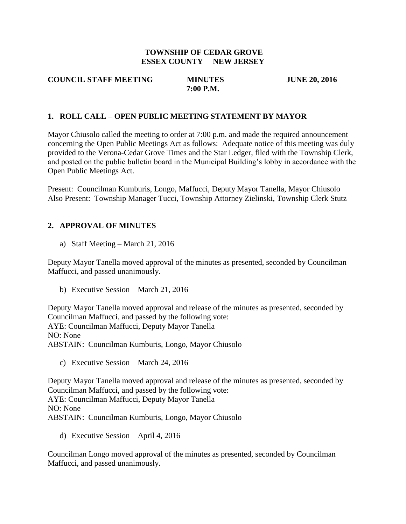#### **TOWNSHIP OF CEDAR GROVE ESSEX COUNTY NEW JERSEY**

#### **COUNCIL STAFF MEETING MINUTES JUNE 20, 2016 7:00 P.M.**

#### **1. ROLL CALL – OPEN PUBLIC MEETING STATEMENT BY MAYOR**

Mayor Chiusolo called the meeting to order at 7:00 p.m. and made the required announcement concerning the Open Public Meetings Act as follows: Adequate notice of this meeting was duly provided to the Verona-Cedar Grove Times and the Star Ledger, filed with the Township Clerk, and posted on the public bulletin board in the Municipal Building's lobby in accordance with the Open Public Meetings Act.

Present: Councilman Kumburis, Longo, Maffucci, Deputy Mayor Tanella, Mayor Chiusolo Also Present: Township Manager Tucci, Township Attorney Zielinski, Township Clerk Stutz

#### **2. APPROVAL OF MINUTES**

a) Staff Meeting – March 21, 2016

Deputy Mayor Tanella moved approval of the minutes as presented, seconded by Councilman Maffucci, and passed unanimously.

b) Executive Session – March 21, 2016

Deputy Mayor Tanella moved approval and release of the minutes as presented, seconded by Councilman Maffucci, and passed by the following vote: AYE: Councilman Maffucci, Deputy Mayor Tanella NO: None ABSTAIN: Councilman Kumburis, Longo, Mayor Chiusolo

c) Executive Session – March 24, 2016

Deputy Mayor Tanella moved approval and release of the minutes as presented, seconded by Councilman Maffucci, and passed by the following vote: AYE: Councilman Maffucci, Deputy Mayor Tanella NO: None ABSTAIN: Councilman Kumburis, Longo, Mayor Chiusolo

d) Executive Session – April 4, 2016

Councilman Longo moved approval of the minutes as presented, seconded by Councilman Maffucci, and passed unanimously.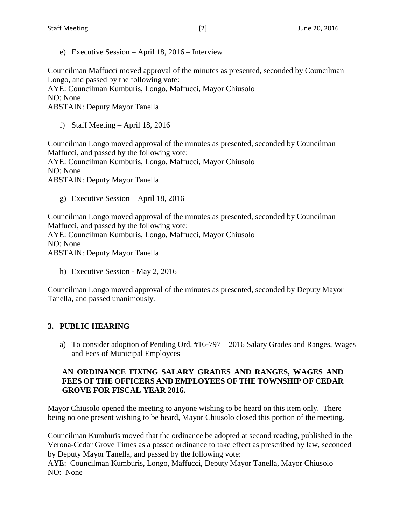e) Executive Session – April 18, 2016 – Interview

Councilman Maffucci moved approval of the minutes as presented, seconded by Councilman Longo, and passed by the following vote:

AYE: Councilman Kumburis, Longo, Maffucci, Mayor Chiusolo NO: None

ABSTAIN: Deputy Mayor Tanella

f) Staff Meeting – April 18, 2016

Councilman Longo moved approval of the minutes as presented, seconded by Councilman Maffucci, and passed by the following vote: AYE: Councilman Kumburis, Longo, Maffucci, Mayor Chiusolo NO: None ABSTAIN: Deputy Mayor Tanella

g) Executive Session – April 18, 2016

Councilman Longo moved approval of the minutes as presented, seconded by Councilman Maffucci, and passed by the following vote: AYE: Councilman Kumburis, Longo, Maffucci, Mayor Chiusolo NO: None ABSTAIN: Deputy Mayor Tanella

h) Executive Session - May 2, 2016

Councilman Longo moved approval of the minutes as presented, seconded by Deputy Mayor Tanella, and passed unanimously.

## **3. PUBLIC HEARING**

a) To consider adoption of Pending Ord. #16-797 – 2016 Salary Grades and Ranges, Wages and Fees of Municipal Employees

## **AN ORDINANCE FIXING SALARY GRADES AND RANGES, WAGES AND FEES OF THE OFFICERS AND EMPLOYEES OF THE TOWNSHIP OF CEDAR GROVE FOR FISCAL YEAR 2016.**

Mayor Chiusolo opened the meeting to anyone wishing to be heard on this item only. There being no one present wishing to be heard, Mayor Chiusolo closed this portion of the meeting.

Councilman Kumburis moved that the ordinance be adopted at second reading, published in the Verona-Cedar Grove Times as a passed ordinance to take effect as prescribed by law, seconded by Deputy Mayor Tanella, and passed by the following vote:

AYE: Councilman Kumburis, Longo, Maffucci, Deputy Mayor Tanella, Mayor Chiusolo NO: None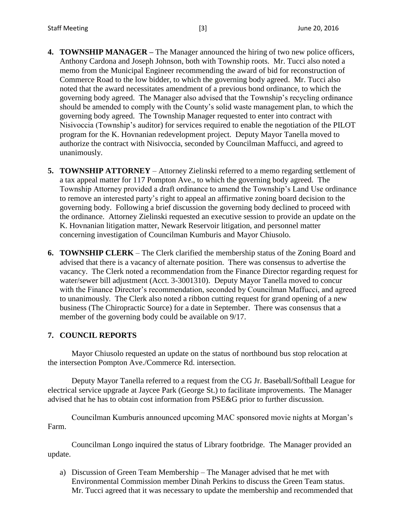- **4. TOWNSHIP MANAGER –** The Manager announced the hiring of two new police officers, Anthony Cardona and Joseph Johnson, both with Township roots. Mr. Tucci also noted a memo from the Municipal Engineer recommending the award of bid for reconstruction of Commerce Road to the low bidder, to which the governing body agreed. Mr. Tucci also noted that the award necessitates amendment of a previous bond ordinance, to which the governing body agreed. The Manager also advised that the Township's recycling ordinance should be amended to comply with the County's solid waste management plan, to which the governing body agreed. The Township Manager requested to enter into contract with Nisivoccia (Township's auditor) for services required to enable the negotiation of the PILOT program for the K. Hovnanian redevelopment project. Deputy Mayor Tanella moved to authorize the contract with Nisivoccia, seconded by Councilman Maffucci, and agreed to unanimously.
- **5. TOWNSHIP ATTORNEY** Attorney Zielinski referred to a memo regarding settlement of a tax appeal matter for 117 Pompton Ave., to which the governing body agreed. The Township Attorney provided a draft ordinance to amend the Township's Land Use ordinance to remove an interested party's right to appeal an affirmative zoning board decision to the governing body. Following a brief discussion the governing body declined to proceed with the ordinance. Attorney Zielinski requested an executive session to provide an update on the K. Hovnanian litigation matter, Newark Reservoir litigation, and personnel matter concerning investigation of Councilman Kumburis and Mayor Chiusolo.
- **6. TOWNSHIP CLERK** The Clerk clarified the membership status of the Zoning Board and advised that there is a vacancy of alternate position. There was consensus to advertise the vacancy. The Clerk noted a recommendation from the Finance Director regarding request for water/sewer bill adjustment (Acct. 3-3001310). Deputy Mayor Tanella moved to concur with the Finance Director's recommendation, seconded by Councilman Maffucci, and agreed to unanimously. The Clerk also noted a ribbon cutting request for grand opening of a new business (The Chiropractic Source) for a date in September. There was consensus that a member of the governing body could be available on 9/17.

## **7. COUNCIL REPORTS**

Mayor Chiusolo requested an update on the status of northbound bus stop relocation at the intersection Pompton Ave./Commerce Rd. intersection.

Deputy Mayor Tanella referred to a request from the CG Jr. Baseball/Softball League for electrical service upgrade at Jaycee Park (George St.) to facilitate improvements. The Manager advised that he has to obtain cost information from PSE&G prior to further discussion.

Councilman Kumburis announced upcoming MAC sponsored movie nights at Morgan's Farm.

Councilman Longo inquired the status of Library footbridge. The Manager provided an update.

a) Discussion of Green Team Membership – The Manager advised that he met with Environmental Commission member Dinah Perkins to discuss the Green Team status. Mr. Tucci agreed that it was necessary to update the membership and recommended that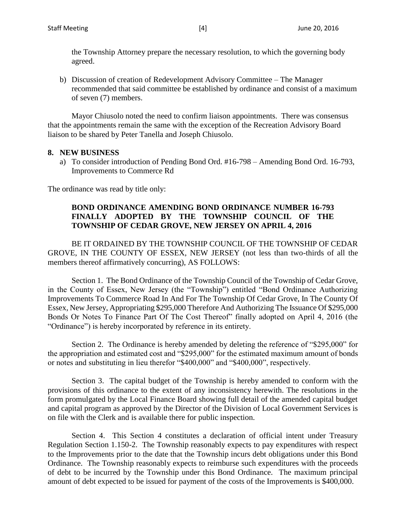the Township Attorney prepare the necessary resolution, to which the governing body agreed.

b) Discussion of creation of Redevelopment Advisory Committee – The Manager recommended that said committee be established by ordinance and consist of a maximum of seven (7) members.

Mayor Chiusolo noted the need to confirm liaison appointments. There was consensus that the appointments remain the same with the exception of the Recreation Advisory Board liaison to be shared by Peter Tanella and Joseph Chiusolo.

#### **8. NEW BUSINESS**

a) To consider introduction of Pending Bond Ord. #16-798 – Amending Bond Ord. 16-793, Improvements to Commerce Rd

The ordinance was read by title only:

#### **BOND ORDINANCE AMENDING BOND ORDINANCE NUMBER 16-793 FINALLY ADOPTED BY THE TOWNSHIP COUNCIL OF THE TOWNSHIP OF CEDAR GROVE, NEW JERSEY ON APRIL 4, 2016**

BE IT ORDAINED BY THE TOWNSHIP COUNCIL OF THE TOWNSHIP OF CEDAR GROVE, IN THE COUNTY OF ESSEX, NEW JERSEY (not less than two-thirds of all the members thereof affirmatively concurring), AS FOLLOWS:

Section 1. The Bond Ordinance of the Township Council of the Township of Cedar Grove, in the County of Essex, New Jersey (the "Township") entitled "Bond Ordinance Authorizing Improvements To Commerce Road In And For The Township Of Cedar Grove, In The County Of Essex, New Jersey, Appropriating \$295,000 Therefore And Authorizing The Issuance Of \$295,000 Bonds Or Notes To Finance Part Of The Cost Thereof" finally adopted on April 4, 2016 (the "Ordinance") is hereby incorporated by reference in its entirety.

Section 2. The Ordinance is hereby amended by deleting the reference of "\$295,000" for the appropriation and estimated cost and "\$295,000" for the estimated maximum amount of bonds or notes and substituting in lieu therefor "\$400,000" and "\$400,000", respectively.

Section 3. The capital budget of the Township is hereby amended to conform with the provisions of this ordinance to the extent of any inconsistency herewith. The resolutions in the form promulgated by the Local Finance Board showing full detail of the amended capital budget and capital program as approved by the Director of the Division of Local Government Services is on file with the Clerk and is available there for public inspection.

Section 4. This Section 4 constitutes a declaration of official intent under Treasury Regulation Section 1.150-2. The Township reasonably expects to pay expenditures with respect to the Improvements prior to the date that the Township incurs debt obligations under this Bond Ordinance. The Township reasonably expects to reimburse such expenditures with the proceeds of debt to be incurred by the Township under this Bond Ordinance. The maximum principal amount of debt expected to be issued for payment of the costs of the Improvements is \$400,000.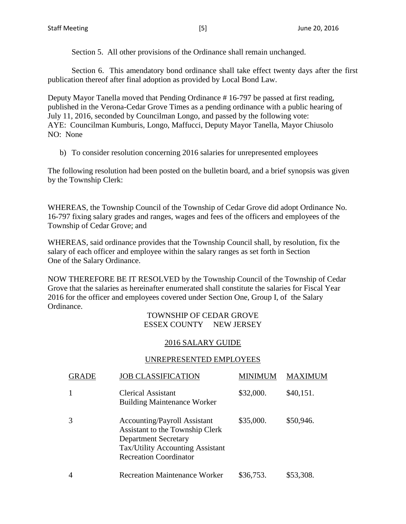Section 5. All other provisions of the Ordinance shall remain unchanged.

Section 6. This amendatory bond ordinance shall take effect twenty days after the first publication thereof after final adoption as provided by Local Bond Law.

Deputy Mayor Tanella moved that Pending Ordinance # 16-797 be passed at first reading, published in the Verona-Cedar Grove Times as a pending ordinance with a public hearing of July 11, 2016, seconded by Councilman Longo, and passed by the following vote: AYE: Councilman Kumburis, Longo, Maffucci, Deputy Mayor Tanella, Mayor Chiusolo NO: None

b) To consider resolution concerning 2016 salaries for unrepresented employees

The following resolution had been posted on the bulletin board, and a brief synopsis was given by the Township Clerk:

WHEREAS, the Township Council of the Township of Cedar Grove did adopt Ordinance No. 16-797 fixing salary grades and ranges, wages and fees of the officers and employees of the Township of Cedar Grove; and

WHEREAS, said ordinance provides that the Township Council shall, by resolution, fix the salary of each officer and employee within the salary ranges as set forth in Section One of the Salary Ordinance.

NOW THEREFORE BE IT RESOLVED by the Township Council of the Township of Cedar Grove that the salaries as hereinafter enumerated shall constitute the salaries for Fiscal Year 2016 for the officer and employees covered under Section One, Group I, of the Salary Ordinance.

#### TOWNSHIP OF CEDAR GROVE ESSEX COUNTY NEW JERSEY

## 2016 SALARY GUIDE

#### UNREPRESENTED EMPLOYEES

| <b>GRADE</b> | <b>JOB CLASSIFICATION</b>                                                                                                                                                  | MINIMUM   | MAXIM     |
|--------------|----------------------------------------------------------------------------------------------------------------------------------------------------------------------------|-----------|-----------|
|              | Clerical Assistant<br><b>Building Maintenance Worker</b>                                                                                                                   | \$32,000. | \$40,151. |
| 3            | <b>Accounting/Payroll Assistant</b><br>Assistant to the Township Clerk<br><b>Department Secretary</b><br>Tax/Utility Accounting Assistant<br><b>Recreation Coordinator</b> | \$35,000. | \$50,946. |
| 4            | <b>Recreation Maintenance Worker</b>                                                                                                                                       | \$36,753. | \$53,308. |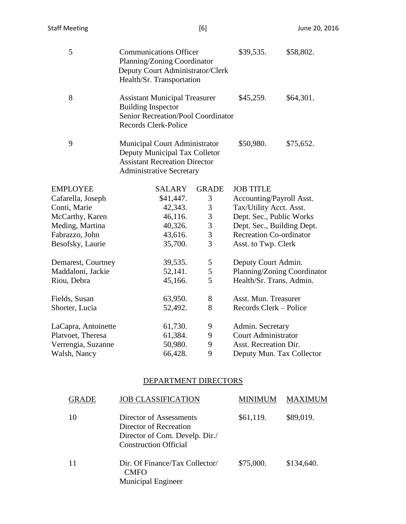| 5                   | <b>Communications Officer</b><br>Planning/Zoning Coordinator<br>Deputy Court Administrator/Clerk<br>Health/Sr. Transportation             | \$39,535.      | \$58,802.                      |                             |
|---------------------|-------------------------------------------------------------------------------------------------------------------------------------------|----------------|--------------------------------|-----------------------------|
| 8                   | <b>Assistant Municipal Treasurer</b><br><b>Building Inspector</b><br>Senior Recreation/Pool Coordinator<br>Records Clerk-Police           | \$45,259.      | \$64,301.                      |                             |
| 9                   | Municipal Court Administrator<br>Deputy Municipal Tax Colletor<br><b>Assistant Recreation Director</b><br><b>Administrative Secretary</b> |                | \$50,980.                      | \$75,652.                   |
| <b>EMPLOYEE</b>     | <b>SALARY</b>                                                                                                                             | <b>GRADE</b>   | <b>JOB TITLE</b>               |                             |
| Cafarella, Joseph   | \$41,447.                                                                                                                                 | 3              | Accounting/Payroll Asst.       |                             |
| Conti, Marie        | 42,343.                                                                                                                                   | $\mathfrak{Z}$ | Tax/Utility Acct. Asst.        |                             |
| McCarthy, Karen     | 46,116.                                                                                                                                   | $\overline{3}$ | Dept. Sec., Public Works       |                             |
| Meding, Martina     | 40,326.                                                                                                                                   | 3              | Dept. Sec., Building Dept.     |                             |
| Fabrazzo, John      | 43,616.                                                                                                                                   | 3              | <b>Recreation Co-ordinator</b> |                             |
| Besofsky, Laurie    | 35,700.                                                                                                                                   | $\overline{3}$ | Asst. to Twp. Clerk            |                             |
|                     |                                                                                                                                           |                |                                |                             |
| Demarest, Courtney  | 39,535.                                                                                                                                   | 5              | Deputy Court Admin.            |                             |
| Maddaloni, Jackie   | 52,141.                                                                                                                                   | 5              |                                | Planning/Zoning Coordinator |
| Riou, Debra         | 45,166.                                                                                                                                   | 5              | Health/Sr. Trans. Admin.       |                             |
| Fields, Susan       | 63,950.                                                                                                                                   | 8              | Asst. Mun. Treasurer           |                             |
| Shorter, Lucia      | 52,492.                                                                                                                                   | 8              | Records Clerk - Police         |                             |
|                     |                                                                                                                                           |                |                                |                             |
| LaCapra, Antoinette | 61,730.                                                                                                                                   | 9              | Admin. Secretary               |                             |
| Platvoet, Theresa   | 61,384.                                                                                                                                   | 9              | <b>Court Administrator</b>     |                             |
| Verrengia, Suzanne  | 50,980.                                                                                                                                   | 9              | Asst. Recreation Dir.          |                             |
| Walsh, Nancy        | 66,428.                                                                                                                                   | 9              | Deputy Mun. Tax Collector      |                             |
|                     |                                                                                                                                           |                |                                |                             |

# DEPARTMENT DIRECTORS

| <b>GRADE</b> | <b>JOB CLASSIFICATION</b>                                                                                           | MINIMUM   | MAXIMUM    |
|--------------|---------------------------------------------------------------------------------------------------------------------|-----------|------------|
| 10           | Director of Assessments<br>Director of Recreation<br>Director of Com. Develp. Dir./<br><b>Construction Official</b> | \$61,119. | \$89,019.  |
| 11           | Dir. Of Finance/Tax Collector/<br><b>CMFO</b><br><b>Municipal Engineer</b>                                          | \$75,000. | \$134,640. |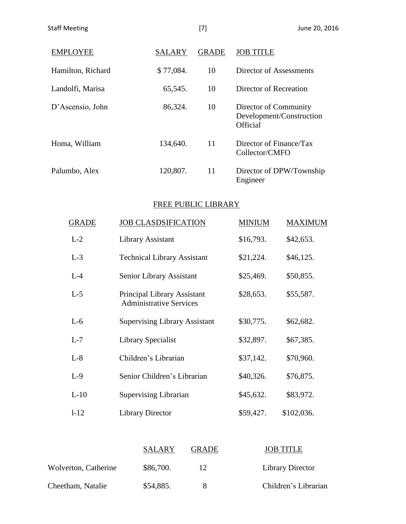| <b>EMPLOYEE</b>   | <b>SALARY</b> | <b>GRADE</b> | <b>JOB TITLE</b>                                              |
|-------------------|---------------|--------------|---------------------------------------------------------------|
| Hamilton, Richard | \$77,084.     | 10           | Director of Assessments                                       |
| Landolfi, Marisa  | 65,545.       | 10           | Director of Recreation                                        |
| D'Ascensio, John  | 86,324.       | 10           | Director of Community<br>Development/Construction<br>Official |
| Homa, William     | 134,640.      | 11           | Director of Finance/Tax<br>Collector/CMFO                     |
| Palumbo, Alex     | 120,807.      | 11           | Director of DPW/Township<br>Engineer                          |

# FREE PUBLIC LIBRARY

| <b>GRADE</b> | <b>JOB CLASDSIFICATION</b>                                           | <b>MINIUM</b> | <b>MAXIMUM</b> |
|--------------|----------------------------------------------------------------------|---------------|----------------|
| $L-2$        | Library Assistant                                                    | \$16,793.     | \$42,653.      |
| $L-3$        | <b>Technical Library Assistant</b>                                   | \$21,224.     | \$46,125.      |
| $L-4$        | Senior Library Assistant                                             | \$25,469.     | \$50,855.      |
| $L-5$        | <b>Principal Library Assistant</b><br><b>Administrative Services</b> | \$28,653.     | \$55,587.      |
| $L-6$        | <b>Supervising Library Assistant</b>                                 | \$30,775.     | \$62,682.      |
| $L-7$        | Library Specialist                                                   | \$32,897.     | \$67,385.      |
| $L-8$        | Children's Librarian                                                 | \$37,142.     | \$70,960.      |
| $L-9$        | Senior Children's Librarian                                          | \$40,326.     | \$76,875.      |
| $L-10$       | <b>Supervising Librarian</b>                                         | \$45,632.     | \$83,972.      |
| $1 - 12$     | <b>Library Director</b>                                              | \$59,427.     | \$102,036.     |

|                      | <b>SALARY</b> | <b>GRADE</b> | <b>JOB TITLE</b>        |
|----------------------|---------------|--------------|-------------------------|
| Wolverton, Catherine | \$86,700.     |              | <b>Library Director</b> |
| Cheetham, Natalie    | \$54,885.     |              | Children's Librarian    |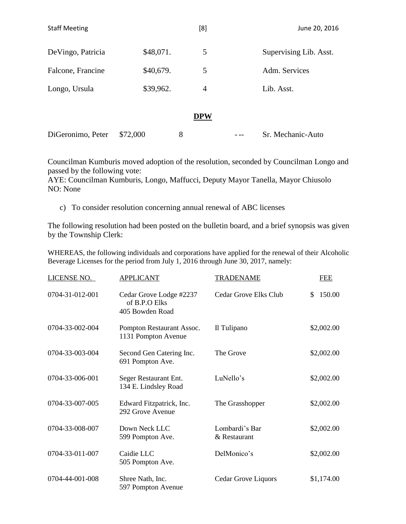| <b>Staff Meeting</b> |           |   | [8]            | June 20, 2016          |
|----------------------|-----------|---|----------------|------------------------|
| De Vingo, Patricia   | \$48,071. |   | 5              | Supervising Lib. Asst. |
| Falcone, Francine    | \$40,679. |   | 5              | Adm. Services          |
| Longo, Ursula        | \$39,962. |   | $\overline{4}$ | Lib. Asst.             |
|                      |           |   | <b>DPW</b>     |                        |
| DiGeronimo, Peter    | \$72,000  | 8 |                | Sr. Mechanic-Auto      |

Councilman Kumburis moved adoption of the resolution, seconded by Councilman Longo and passed by the following vote:

AYE: Councilman Kumburis, Longo, Maffucci, Deputy Mayor Tanella, Mayor Chiusolo NO: None

c) To consider resolution concerning annual renewal of ABC licenses

The following resolution had been posted on the bulletin board, and a brief synopsis was given by the Township Clerk:

WHEREAS, the following individuals and corporations have applied for the renewal of their Alcoholic Beverage Licenses for the period from July 1, 2016 through June 30, 2017, namely:

| LICENSE NO.     | <b>APPLICANT</b>                                            | <b>TRADENAME</b>               | <b>FEE</b>   |
|-----------------|-------------------------------------------------------------|--------------------------------|--------------|
| 0704-31-012-001 | Cedar Grove Lodge #2237<br>of B.P.O Elks<br>405 Bowden Road | Cedar Grove Elks Club          | 150.00<br>\$ |
| 0704-33-002-004 | Pompton Restaurant Assoc.<br>1131 Pompton Avenue            | Il Tulipano                    | \$2,002.00   |
| 0704-33-003-004 | Second Gen Catering Inc.<br>691 Pompton Ave.                | The Grove                      | \$2,002.00   |
| 0704-33-006-001 | Seger Restaurant Ent.<br>134 E. Lindsley Road               | LuNello's                      | \$2,002.00   |
| 0704-33-007-005 | Edward Fitzpatrick, Inc.<br>292 Grove Avenue                | The Grasshopper                | \$2,002.00   |
| 0704-33-008-007 | Down Neck LLC<br>599 Pompton Ave.                           | Lombardi's Bar<br>& Restaurant | \$2,002.00   |
| 0704-33-011-007 | Caidie LLC<br>505 Pompton Ave.                              | DelMonico's                    | \$2,002.00   |
| 0704-44-001-008 | Shree Nath, Inc.<br>597 Pompton Avenue                      | Cedar Grove Liquors            | \$1,174.00   |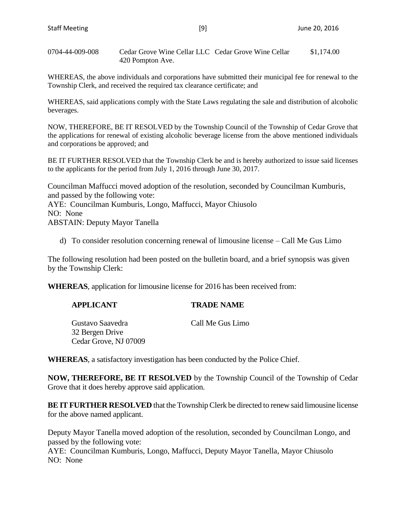0704-44-009-008 Cedar Grove Wine Cellar LLC Cedar Grove Wine Cellar \$1,174.00 420 Pompton Ave.

WHEREAS, the above individuals and corporations have submitted their municipal fee for renewal to the Township Clerk, and received the required tax clearance certificate; and

WHEREAS, said applications comply with the State Laws regulating the sale and distribution of alcoholic beverages.

NOW, THEREFORE, BE IT RESOLVED by the Township Council of the Township of Cedar Grove that the applications for renewal of existing alcoholic beverage license from the above mentioned individuals and corporations be approved; and

BE IT FURTHER RESOLVED that the Township Clerk be and is hereby authorized to issue said licenses to the applicants for the period from July 1, 2016 through June 30, 2017.

Councilman Maffucci moved adoption of the resolution, seconded by Councilman Kumburis, and passed by the following vote: AYE: Councilman Kumburis, Longo, Maffucci, Mayor Chiusolo NO: None ABSTAIN: Deputy Mayor Tanella

d) To consider resolution concerning renewal of limousine license – Call Me Gus Limo

The following resolution had been posted on the bulletin board, and a brief synopsis was given by the Township Clerk:

**WHEREAS**, application for limousine license for 2016 has been received from:

| Gustavo Saavedra      | Call Me Gus Limo |
|-----------------------|------------------|
| 32 Bergen Drive       |                  |
| Cedar Grove, NJ 07009 |                  |

**APPLICANT TRADE NAME**

**WHEREAS**, a satisfactory investigation has been conducted by the Police Chief.

**NOW, THEREFORE, BE IT RESOLVED** by the Township Council of the Township of Cedar Grove that it does hereby approve said application.

**BE IT FURTHER RESOLVED** that the Township Clerk be directed to renew said limousine license for the above named applicant.

Deputy Mayor Tanella moved adoption of the resolution, seconded by Councilman Longo, and passed by the following vote:

AYE: Councilman Kumburis, Longo, Maffucci, Deputy Mayor Tanella, Mayor Chiusolo NO: None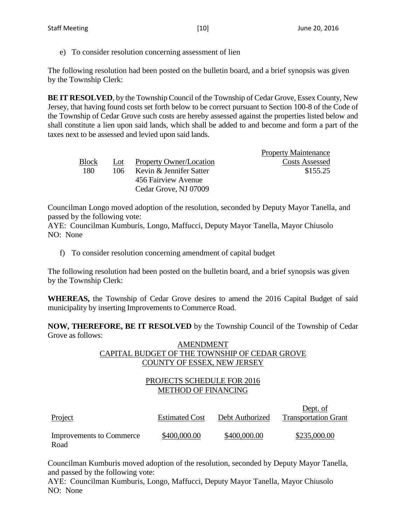e) To consider resolution concerning assessment of lien

The following resolution had been posted on the bulletin board, and a brief synopsis was given by the Township Clerk:

**BE IT RESOLVED**, by the Township Council of the Township of Cedar Grove, Essex County, New Jersey, that having found costs set forth below to be correct pursuant to Section 100-8 of the Code of the Township of Cedar Grove such costs are hereby assessed against the properties listed below and shall constitute a lien upon said lands, which shall be added to and become and form a part of the taxes next to be assessed and levied upon said lands.

|              |     |                         | <b>Property Maintenance</b> |
|--------------|-----|-------------------------|-----------------------------|
| <b>Block</b> | Lot | Property Owner/Location | <b>Costs Assessed</b>       |
| 180          | 106 | Kevin & Jennifer Satter | \$155.25                    |
|              |     | 456 Fairview Avenue     |                             |
|              |     | Cedar Grove, NJ 07009   |                             |

Councilman Longo moved adoption of the resolution, seconded by Deputy Mayor Tanella, and passed by the following vote:

AYE: Councilman Kumburis, Longo, Maffucci, Deputy Mayor Tanella, Mayor Chiusolo NO: None

f) To consider resolution concerning amendment of capital budget

The following resolution had been posted on the bulletin board, and a brief synopsis was given by the Township Clerk:

**WHEREAS,** the Township of Cedar Grove desires to amend the 2016 Capital Budget of said municipality by inserting Improvements to Commerce Road.

**NOW, THEREFORE, BE IT RESOLVED** by the Township Council of the Township of Cedar Grove as follows:

#### AMENDMENT CAPITAL BUDGET OF THE TOWNSHIP OF CEDAR GROVE COUNTY OF ESSEX, NEW JERSEY

# PROJECTS SCHEDULE FOR 2016 METHOD OF FINANCING

| Project                                 | <b>Estimated Cost</b> | Debt Authorized | Dept. of<br><b>Transportation Grant</b> |
|-----------------------------------------|-----------------------|-----------------|-----------------------------------------|
| <b>Improvements to Commerce</b><br>Road | \$400,000.00          | \$400,000.00    | \$235,000.00                            |

Councilman Kumburis moved adoption of the resolution, seconded by Deputy Mayor Tanella, and passed by the following vote:

AYE: Councilman Kumburis, Longo, Maffucci, Deputy Mayor Tanella, Mayor Chiusolo NO: None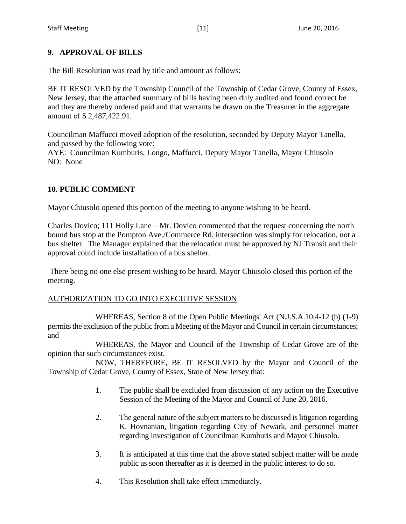# **9. APPROVAL OF BILLS**

The Bill Resolution was read by title and amount as follows:

BE IT RESOLVED by the Township Council of the Township of Cedar Grove, County of Essex, New Jersey, that the attached summary of bills having been duly audited and found correct be and they are thereby ordered paid and that warrants be drawn on the Treasurer in the aggregate amount of \$ 2,487,422.91.

Councilman Maffucci moved adoption of the resolution, seconded by Deputy Mayor Tanella, and passed by the following vote:

AYE: Councilman Kumburis, Longo, Maffucci, Deputy Mayor Tanella, Mayor Chiusolo NO: None

# **10. PUBLIC COMMENT**

Mayor Chiusolo opened this portion of the meeting to anyone wishing to be heard.

Charles Dovico; 111 Holly Lane – Mr. Dovico commented that the request concerning the north bound bus stop at the Pompton Ave./Commerce Rd. intersection was simply for relocation, not a bus shelter. The Manager explained that the relocation must be approved by NJ Transit and their approval could include installation of a bus shelter.

There being no one else present wishing to be heard, Mayor Chiusolo closed this portion of the meeting.

## AUTHORIZATION TO GO INTO EXECUTIVE SESSION

WHEREAS, Section 8 of the Open Public Meetings' Act (N.J.S.A.10:4-12 (b) (1-9) permits the exclusion of the public from a Meeting of the Mayor and Council in certain circumstances; and

WHEREAS, the Mayor and Council of the Township of Cedar Grove are of the opinion that such circumstances exist.

NOW, THEREFORE, BE IT RESOLVED by the Mayor and Council of the Township of Cedar Grove, County of Essex, State of New Jersey that:

- 1. The public shall be excluded from discussion of any action on the Executive Session of the Meeting of the Mayor and Council of June 20, 2016.
- 2. The general nature of the subject matters to be discussed is litigation regarding K. Hovnanian, litigation regarding City of Newark, and personnel matter regarding investigation of Councilman Kumburis and Mayor Chiusolo.
- 3. It is anticipated at this time that the above stated subject matter will be made public as soon thereafter as it is deemed in the public interest to do so.
- 4. This Resolution shall take effect immediately.